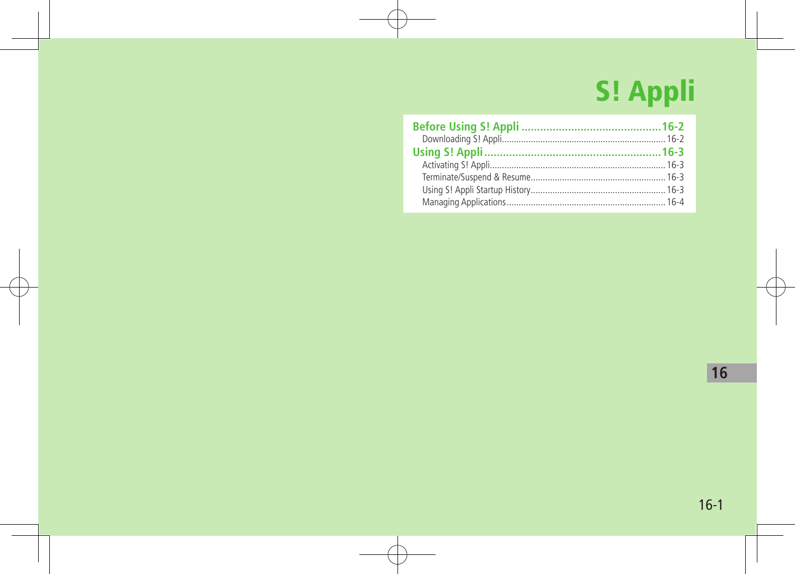# S! Appli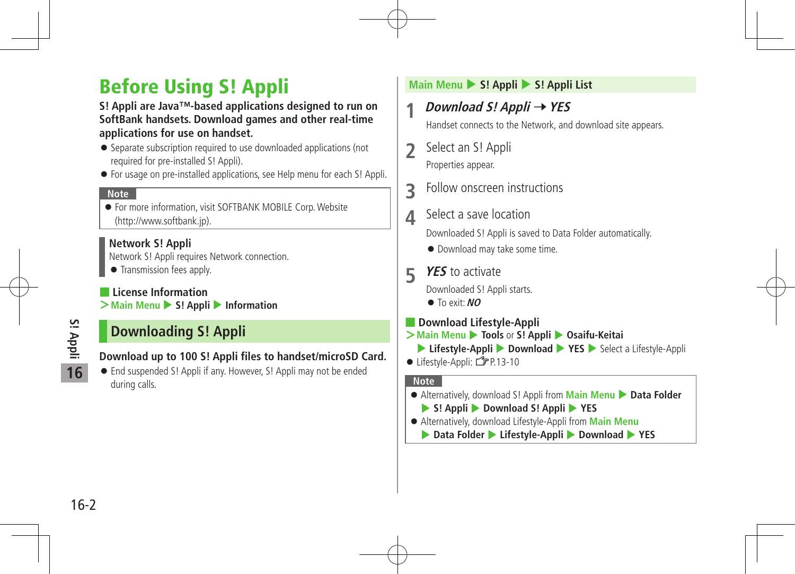# Before Using S! Appli

#### **S! Appli are Java™-based applications designed to run on SoftBank handsets. Download games and other real-time applications for use on handset.**

- Separate subscription required to use downloaded applications (not required for pre-installed S! Appli).
- For usage on pre-installed applications, see Help menu for each S! Appli.

#### **Note**

 For more information, visit SOFTBANK MOBILE Corp.Website (http://www.softbank.jp).

#### **Network S! Appli**

Network S! Appli requires Network connection.

**•** Transmission fees apply.

#### ■ **License Information**

**>Main Menu** ▶ S! Appli ▶ Information

# **Downloading S! Appli**

#### **Download up to 100 S! Appli files to handset/microSD Card.**

 End suspended S! Appli if any. However, S! Appli may not be ended during calls.

#### **Main Menu** 4 **S! Appli** 4 **S! Appli List**

# **1 Download S! Appli** <sup>7</sup>**YES**

Handset connects to the Network, and download site appears.

- **2** Select an S! Appli Properties appear.
- **3** Follow onscreen instructions
- **4** Select a save location

Downloaded S! Appli is saved to Data Folder automatically.

- Download may take some time.
- **5 YES** to activate

Downloaded S! Appli starts.

- To exit:**NO**
- **Download Lifestyle-Appli**
- **>Main Menu** 4 **Tools** or **S! Appli** 4 **Osaifu-Keitai**
	- ▶ Lifestyle-Appli ▶ Download ▶ YES ▶ Select a Lifestyle-Appli
- $\bullet$  Lifestyle-Appli:  $2P$ P.13-10

#### **Note**

- **•** Alternatively, download S! Appli from **Main Menu Data Folder** 
	- 4 **S! Appli** 4 **Download S! Appli** 4 **YES**
- Alternatively, download Lifestyle-Appli from **Main Menu**
	- ▶ Data Folder ▶ Lifestyle-Appli ▶ Download ▶ YES

**S! Appli**

**16**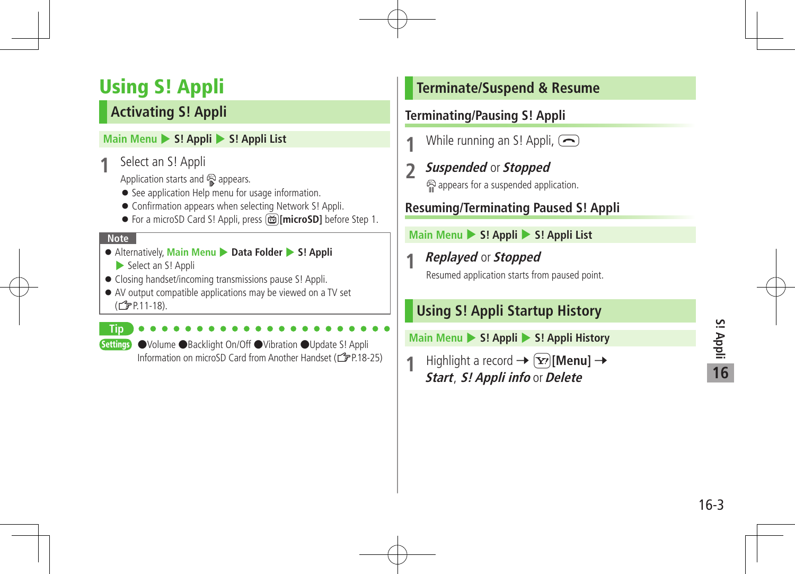# Using S! Appli

# **Activating S! Appli**

#### **Main Menu > S! Appli > S! Appli List**

Select an S! Appli

Application starts and  $\mathbb{R}$  appears.

- See application Help menu for usage information.
- Confirmation appears when selecting Network S! Appli.
- For a microSD Card S! Appli, press **in land in the State Step 1.**

#### **Note**

- Alternatively, **Main Menu** 4 **Data Folder** 4 **S! Appli** Select an S! Appli
- Closing handset/incoming transmissions pause S! Appli.
- AV output compatible applications may be viewed on a TV set (ZP.11-18).

**Tip**

Settings ●Volume ●Backlight On/Off ●Vibration ●Update S! Appli Information on microSD Card from Another Handset (ZP.18-25)

# **Terminate/Suspend & Resume**

#### **Terminating/Pausing S! Appli**

- While running an S! Appli,  $\left(\right)$
- **2 Suspended** or **Stopped** appears for a suspended application.

# **Resuming/Terminating Paused S! Appli**

#### **Main Menu** 4 **S! Appli** 4 **S! Appli List**

# **1 Replayed** or **Stopped**

Resumed application starts from paused point.

# **Using S! Appli Startup History**

**Main Menu** 4 **S! Appli** 4 **S! Appli History**

**Highlight a record**  $\rightarrow \infty$  **[Menu]**  $\rightarrow$ *Start, S! Appli info* or Delete